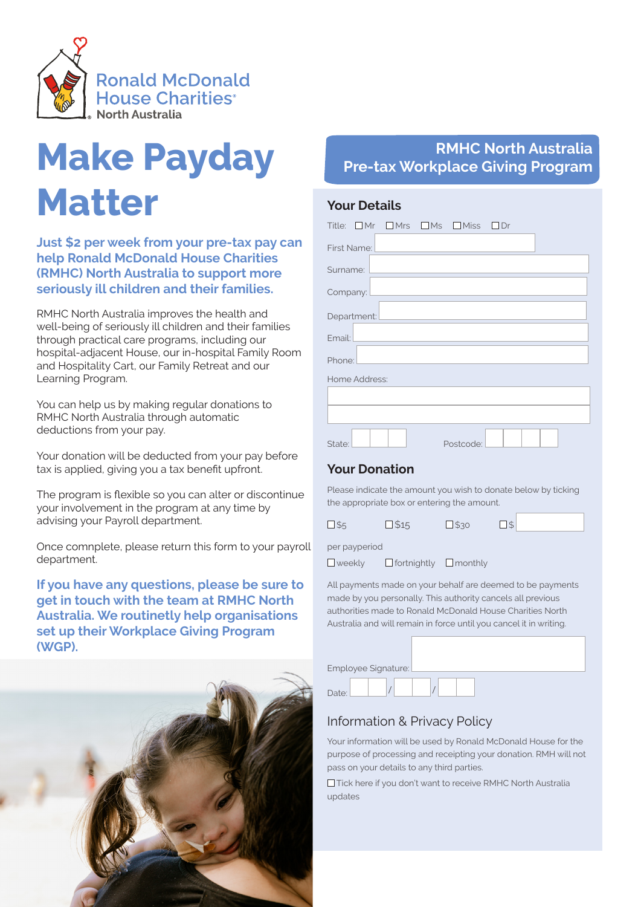

# **Matter**

**Just \$2 per week from your pre-tax pay can help Ronald McDonald House Charities (RMHC) North Australia to support more seriously ill children and their families.**

RMHC North Australia improves the health and well-being of seriously ill children and their families through practical care programs, including our hospital-adjacent House, our in-hospital Family Room and Hospitality Cart, our Family Retreat and our Learning Program.

You can help us by making regular donations to RMHC North Australia through automatic deductions from your pay.

Your donation will be deducted from your pay before tax is applied, giving you a tax benefit upfront.

The program is flexible so you can alter or discontinue your involvement in the program at any time by advising your Payroll department.

Once comnplete, please return this form to your payroll department.

**If you have any questions, please be sure to get in touch with the team at RMHC North Australia. We routinetly help organisations set up their Workplace Giving Program (WGP).**



# **Make Payday Bre-tax Workplace Giving Program**

### **Your Details**

|          |                                                                                                      |                    | Title: $\Box$ Mr $\Box$ Mrs $\Box$ Ms $\Box$ Miss $\Box$ Dr                                                    |  |
|----------|------------------------------------------------------------------------------------------------------|--------------------|----------------------------------------------------------------------------------------------------------------|--|
|          |                                                                                                      | First Name:        |                                                                                                                |  |
| Surname: |                                                                                                      |                    |                                                                                                                |  |
| Company: |                                                                                                      |                    | a sa kacamatan ing Kabupatèn Kabupatèn Kabupatèn Kabupatèn Kabupatèn Kabupatèn Kabupatèn Kabupatèn Kabupatèn K |  |
|          | Department:                                                                                          | <u> Tanzania (</u> |                                                                                                                |  |
|          | Email: Letter Letter Letter Letter Letter Letter Letter Letter Letter Letter Letter Letter Letter Le |                    |                                                                                                                |  |
| Phone:   |                                                                                                      |                    |                                                                                                                |  |
|          | Home Address:                                                                                        |                    |                                                                                                                |  |
|          |                                                                                                      |                    |                                                                                                                |  |
|          |                                                                                                      |                    |                                                                                                                |  |
| State:   |                                                                                                      |                    | Postcode:                                                                                                      |  |

## **Your Donation**

Please indicate the amount you wish to donate below by ticking the appropriate box or entering the amount.

| $\square$ \$5 | $\square$ \$15 | $\square$ \$30 | $\Box$ |
|---------------|----------------|----------------|--------|
|               |                |                |        |

per payperiod

 $\square$  weekly  $\square$  fortnightly  $\square$  monthly

All payments made on your behalf are deemed to be payments made by you personally. This authority cancels all previous authorities made to Ronald McDonald House Charities North Australia and will remain in force until you cancel it in writing.

| Employee Signature: |  |  |  |  |  |  |  |  |  |  |  |
|---------------------|--|--|--|--|--|--|--|--|--|--|--|
| Date:               |  |  |  |  |  |  |  |  |  |  |  |

## Information & Privacy Policy

Your information will be used by Ronald McDonald House for the purpose of processing and receipting your donation. RMH will not pass on your details to any third parties.

 Tick here if you don't want to receive RMHC North Australia updates